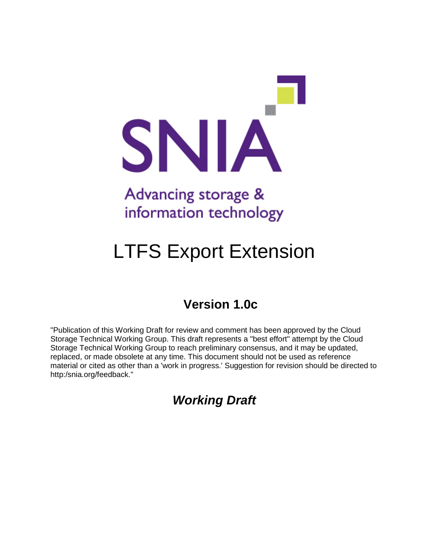

# information technology

# LTFS Export Extension

## **Version 1.0c**

"Publication of this Working Draft for review and comment has been approved by the Cloud Storage Technical Working Group. This draft represents a "best effort" attempt by the Cloud Storage Technical Working Group to reach preliminary consensus, and it may be updated, replaced, or made obsolete at any time. This document should not be used as reference material or cited as other than a 'work in progress.' Suggestion for revision should be directed to http:/snia.org/feedback."

*Working Draft*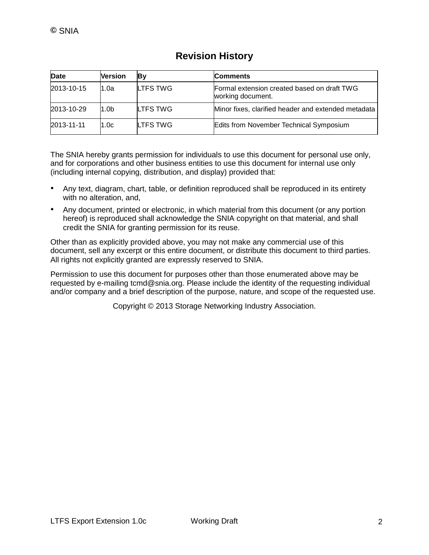| Date       | <b>Version</b>   | Β۷              | <b>Comments</b>                                                  |
|------------|------------------|-----------------|------------------------------------------------------------------|
| 2013-10-15 | 1.0a             | LTFS TWG        | Formal extension created based on draft TWG<br>working document. |
| 2013-10-29 | 1.0 <sub>b</sub> | LTFS TWG        | Minor fixes, clarified header and extended metadata              |
| 2013-11-11 | 1.0c             | <b>LTFS TWG</b> | Edits from November Technical Symposium                          |

#### **Revision History**

The SNIA hereby grants permission for individuals to use this document for personal use only, and for corporations and other business entities to use this document for internal use only (including internal copying, distribution, and display) provided that:

- Any text, diagram, chart, table, or definition reproduced shall be reproduced in its entirety with no alteration, and,
- Any document, printed or electronic, in which material from this document (or any portion hereof) is reproduced shall acknowledge the SNIA copyright on that material, and shall credit the SNIA for granting permission for its reuse.

Other than as explicitly provided above, you may not make any commercial use of this document, sell any excerpt or this entire document, or distribute this document to third parties. All rights not explicitly granted are expressly reserved to SNIA.

Permission to use this document for purposes other than those enumerated above may be requested by e-mailing tcmd@snia.org. Please include the identity of the requesting individual and/or company and a brief description of the purpose, nature, and scope of the requested use.

Copyright © 2013 Storage Networking Industry Association.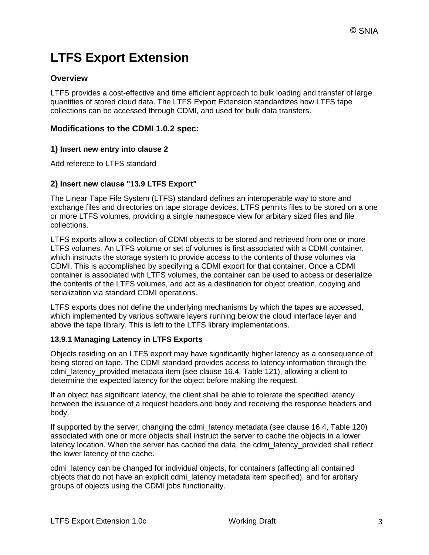## **LTFS Export Extension**

#### **Overview**

LTFS provides a cost-effective and time efficient approach to bulk loading and transfer of large quantities of stored cloud data. The LTFS Export Extension standardizes how LTFS tape collections can be accessed through CDMI, and used for bulk data transfers.

#### **Modifications to the CDMI 1.0.2 spec:**

#### **1) Insert new entry into clause 2**

Add referece to LTFS standard

#### **2) Insert new clause "13.9 LTFS Export"**

The Linear Tape File System (LTFS) standard defines an interoperable way to store and exchange files and directories on tape storage devices. LTFS permits files to be stored on a one or more LTFS volumes, providing a single namespace view for arbitary sized files and file collections.

LTFS exports allow a collection of CDMI objects to be stored and retrieved from one or more LTFS volumes. An LTFS volume or set of volumes is first associated with a CDMI container, which instructs the storage system to provide access to the contents of those volumes via CDMI. This is accomplished by specifying a CDMI export for that container. Once a CDMI container is associated with LTFS volumes, the container can be used to access or deserialize the contents of the LTFS volumes, and act as a destination for object creation, copying and serialization via standard CDMI operations.

LTFS exports does not define the underlying mechanisms by which the tapes are accessed, which implemented by various software layers running below the cloud interface layer and above the tape library. This is left to the LTFS library implementations.

#### **13.9.1 Managing Latency in LTFS Exports**

Objects residing on an LTFS export may have significantly higher latency as a consequence of being stored on tape. The CDMI standard provides access to latency information through the cdmi latency provided metadata item (see clause 16.4, Table 121), allowing a client to determine the expected latency for the object before making the request.

If an object has significant latency, the client shall be able to tolerate the specified latency between the issuance of a request headers and body and receiving the response headers and body.

If supported by the server, changing the cdmi\_latency metadata (see clause 16.4, Table 120) associated with one or more objects shall instruct the server to cache the objects in a lower latency location. When the server has cached the data, the cdmi latency provided shall reflect the lower latency of the cache.

cdmi\_latency can be changed for individual objects, for containers (affecting all contained objects that do not have an explicit cdmi\_latency metadata item specified), and for arbitary groups of objects using the CDMI jobs functionality.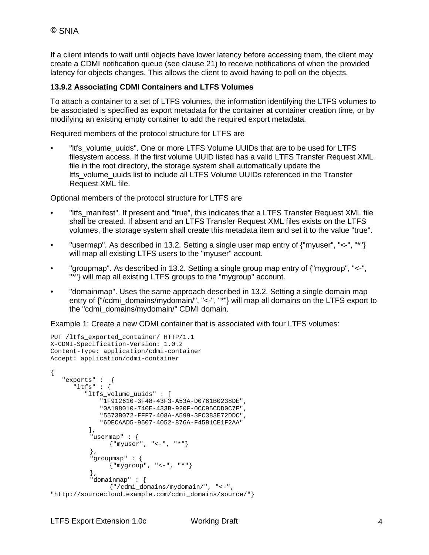If a client intends to wait until objects have lower latency before accessing them, the client may create a CDMI notification queue (see clause 21) to receive notifications of when the provided latency for objects changes. This allows the client to avoid having to poll on the objects.

#### **13.9.2 Associating CDMI Containers and LTFS Volumes**

To attach a container to a set of LTFS volumes, the information identifying the LTFS volumes to be associated is specified as export metadata for the container at container creation time, or by modifying an existing empty container to add the required export metadata.

Required members of the protocol structure for LTFS are

"Itfs\_volume\_uuids". One or more LTFS Volume UUIDs that are to be used for LTFS filesystem access. If the first volume UUID listed has a valid LTFS Transfer Request XML file in the root directory, the storage system shall automatically update the ltfs\_volume\_uuids list to include all LTFS Volume UUIDs referenced in the Transfer Request XML file.

Optional members of the protocol structure for LTFS are

- "Itfs\_manifest". If present and "true", this indicates that a LTFS Transfer Request XML file shall be created. If absent and an LTFS Transfer Request XML files exists on the LTFS volumes, the storage system shall create this metadata item and set it to the value "true".
- "usermap". As described in 13.2. Setting a single user map entry of {"myuser", "<-", "\*"} will map all existing LTFS users to the "myuser" account.
- "groupmap". As described in 13.2. Setting a single group map entry of {"mygroup", "<-", "\*"} will map all existing LTFS groups to the "mygroup" account.
- "domainmap". Uses the same approach described in 13.2. Setting a single domain map entry of {"/cdmi\_domains/mydomain/", "<-", "\*"} will map all domains on the LTFS export to the "cdmi\_domains/mydomain/" CDMI domain.

Example 1: Create a new CDMI container that is associated with four LTFS volumes:

```
PUT /ltfs_exported_container/ HTTP/1.1
X-CDMI-Specification-Version: 1.0.2
Content-Type: application/cdmi-container
Accept: application/cdmi-container
{
    "exports" : {
       "ltfs" : {
          "ltfs_volume_uuids" : [
              "1F912610-3F48-43F3-A53A-D0761B0238DE",
              "0A198010-740E-433B-920F-0CC95CDD0C7F",
              "5573B072-FFF7-408A-A599-3FC383E72DDC",
              "6DECAAD5-9507-4052-876A-F45B1CE1F2AA"
           ],
           "usermap" : {
                {"myuser", "<-", "*"}
           },
           "groupmap" : {
                \{ "mygroup", "<-", "*"}
           },
           "domainmap" : {
                {"/cdmi_domains/mydomain/", "<-", 
"http://sourcecloud.example.com/cdmi_domains/source/"}
```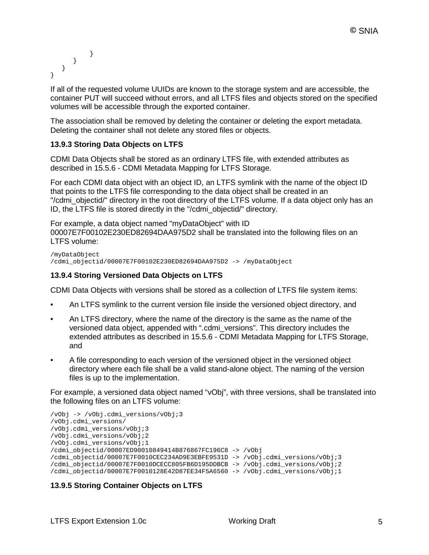```
}
      }
    }
}
```
If all of the requested volume UUIDs are known to the storage system and are accessible, the container PUT will succeed without errors, and all LTFS files and objects stored on the specified volumes will be accessible through the exported container.

The association shall be removed by deleting the container or deleting the export metadata. Deleting the container shall not delete any stored files or objects.

#### **13.9.3 Storing Data Objects on LTFS**

CDMI Data Objects shall be stored as an ordinary LTFS file, with extended attributes as described in 15.5.6 - CDMI Metadata Mapping for LTFS Storage.

For each CDMI data object with an object ID, an LTFS symlink with the name of the object ID that points to the LTFS file corresponding to the data object shall be created in an "/cdmi\_objectid/" directory in the root directory of the LTFS volume. If a data object only has an ID, the LTFS file is stored directly in the "/cdmi\_objectid/" directory.

For example, a data object named "myDataObject" with ID 00007E7F00102E230ED82694DAA975D2 shall be translated into the following files on an LTFS volume:

```
/myDataObject
/cdmi_objectid/00007E7F00102E230ED82694DAA975D2 -> /myDataObject
```
#### **13.9.4 Storing Versioned Data Objects on LTFS**

CDMI Data Objects with versions shall be stored as a collection of LTFS file system items:

- An LTFS symlink to the current version file inside the versioned object directory, and
- An LTFS directory, where the name of the directory is the same as the name of the versioned data object, appended with ".cdmi\_versions". This directory includes the extended attributes as described in 15.5.6 - CDMI Metadata Mapping for LTFS Storage, and
- A file corresponding to each version of the versioned object in the versioned object directory where each file shall be a valid stand-alone object. The naming of the version files is up to the implementation.

For example, a versioned data object named "vObj", with three versions, shall be translated into the following files on an LTFS volume:

```
/vObj -> /vObj.cdmi_versions/vObj;3
/vObj.cdmi_versions/
/vObj.cdmi_versions/vObj;3 
/vObj.cdmi_versions/vObj;2 
/vObj.cdmi_versions/vObj;1
/cdmi_objectid/00007ED90010849414B876867FC196C8 -> /vObj
/cdmi_objectid/00007E7F0010CEC234AD9E3EBFE9531D -> /vObj.cdmi_versions/vObj;3
/cdmi_objectid/00007E7F0010DCECC805FB6D195DDBCB -> /vObj.cdmi_versions/vObj;2
/cdmi_objectid/00007E7F0010128E42D87EE34F5A6560 -> /vObj.cdmi_versions/vObj;1
```
#### **13.9.5 Storing Container Objects on LTFS**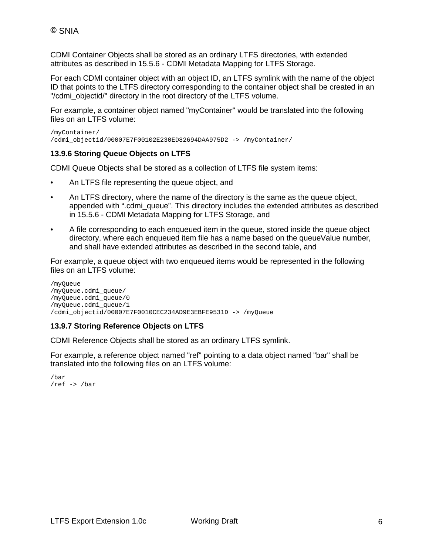CDMI Container Objects shall be stored as an ordinary LTFS directories, with extended attributes as described in 15.5.6 - CDMI Metadata Mapping for LTFS Storage.

For each CDMI container object with an object ID, an LTFS symlink with the name of the object ID that points to the LTFS directory corresponding to the container object shall be created in an "/cdmi\_objectid/" directory in the root directory of the LTFS volume.

For example, a container object named "myContainer" would be translated into the following files on an LTFS volume:

/myContainer/ /cdmi\_objectid/00007E7F00102E230ED82694DAA975D2 -> /myContainer/

#### **13.9.6 Storing Queue Objects on LTFS**

CDMI Queue Objects shall be stored as a collection of LTFS file system items:

- An LTFS file representing the queue object, and
- An LTFS directory, where the name of the directory is the same as the queue object, appended with ".cdmi\_queue". This directory includes the extended attributes as described in 15.5.6 - CDMI Metadata Mapping for LTFS Storage, and
- A file corresponding to each enqueued item in the queue, stored inside the queue object directory, where each enqueued item file has a name based on the queueValue number, and shall have extended attributes as described in the second table, and

For example, a queue object with two enqueued items would be represented in the following files on an LTFS volume:

```
/myQueue
/myQueue.cdmi_queue/
/myQueue.cdmi_queue/0
/myQueue.cdmi_queue/1
/cdmi_objectid/00007E7F0010CEC234AD9E3EBFE9531D -> /myQueue
```
#### **13.9.7 Storing Reference Objects on LTFS**

CDMI Reference Objects shall be stored as an ordinary LTFS symlink.

For example, a reference object named "ref" pointing to a data object named "bar" shall be translated into the following files on an LTFS volume:

```
/bar
/ref -> /bar
```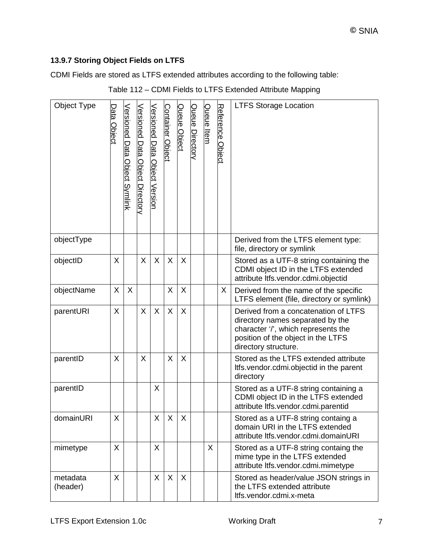#### **13.9.7 Storing Object Fields on LTFS**

CDMI Fields are stored as LTFS extended attributes according to the following table:

| Object Type          | <u> Data Object</u> | <u>Versioned Data</u><br>Object Symlink | Versioned Data Object Directory | Versioned Data Object Version | Container Object | Queue Object | Queue Directory | Queue Item | Reference Object | <b>LTFS Storage Location</b>                                                                                                                                                  |
|----------------------|---------------------|-----------------------------------------|---------------------------------|-------------------------------|------------------|--------------|-----------------|------------|------------------|-------------------------------------------------------------------------------------------------------------------------------------------------------------------------------|
| objectType           |                     |                                         |                                 |                               |                  |              |                 |            |                  | Derived from the LTFS element type:<br>file, directory or symlink                                                                                                             |
| objectID             | X                   |                                         | X                               | X                             | X                | X            |                 |            |                  | Stored as a UTF-8 string containing the<br>CDMI object ID in the LTFS extended<br>attribute ltfs.vendor.cdmi.objectid                                                         |
| objectName           | X                   | X                                       |                                 |                               | X                | X            |                 |            | X.               | Derived from the name of the specific<br>LTFS element (file, directory or symlink)                                                                                            |
| parentURI            | X                   |                                         | X                               | X                             | X                | X            |                 |            |                  | Derived from a concatenation of LTFS<br>directory names separated by the<br>character '/', which represents the<br>position of the object in the LTFS<br>directory structure. |
| parentID             | X                   |                                         | X                               |                               | X                | X            |                 |            |                  | Stored as the LTFS extended attribute<br>Itfs.vendor.cdmi.objectid in the parent<br>directory                                                                                 |
| parentID             |                     |                                         |                                 | X                             |                  |              |                 |            |                  | Stored as a UTF-8 string containing a<br>CDMI object ID in the LTFS extended<br>attribute ltfs.vendor.cdmi.parentid                                                           |
| domainURI            | Χ                   |                                         |                                 | X                             | X                | X            |                 |            |                  | Stored as a UTF-8 string containg a<br>domain URI in the LTFS extended<br>attribute ltfs.vendor.cdmi.domainURI                                                                |
| mimetype             | X                   |                                         |                                 | X                             |                  |              |                 | X          |                  | Stored as a UTF-8 string containg the<br>mime type in the LTFS extended<br>attribute ltfs.vendor.cdmi.mimetype                                                                |
| metadata<br>(header) | X                   |                                         |                                 | X                             | X                | X            |                 |            |                  | Stored as header/value JSON strings in<br>the LTFS extended attribute<br>ltfs.vendor.cdmi.x-meta                                                                              |

#### Table 112 – CDMI Fields to LTFS Extended Attribute Mapping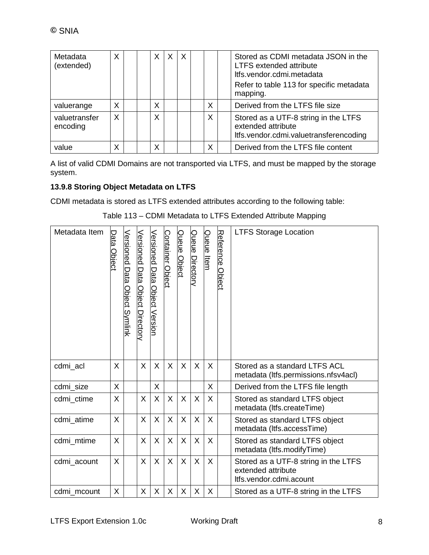| Metadata<br>(extended)    | X | X | X | $\times$ |   | Stored as CDMI metadata JSON in the<br><b>LTFS extended attribute</b><br>Itfs.vendor.cdmi.metadata<br>Refer to table 113 for specific metadata<br>mapping. |
|---------------------------|---|---|---|----------|---|------------------------------------------------------------------------------------------------------------------------------------------------------------|
| valuerange                | X | Χ |   |          | Χ | Derived from the LTFS file size                                                                                                                            |
| valuetransfer<br>encoding | X | X |   |          | X | Stored as a UTF-8 string in the LTFS<br>extended attribute<br>Itfs.vendor.cdmi.valuetransferencoding                                                       |
| value                     | Χ | Χ |   |          | Χ | Derived from the LTFS file content                                                                                                                         |

A list of valid CDMI Domains are not transported via LTFS, and must be mapped by the storage system.

#### **13.9.8 Storing Object Metadata on LTFS**

CDMI metadata is stored as LTFS extended attributes according to the following table:

| Metadata Item | <u>Data Object</u> | Versioned<br>Data<br>Object Symlink | <b>Versioned Data Object Directory</b> | Versioned Data Object Version | <b>Container Object</b> | Queue Object | Queue Directory | Queue Item | Reference Object | <b>LTFS Storage Location</b>                                                          |
|---------------|--------------------|-------------------------------------|----------------------------------------|-------------------------------|-------------------------|--------------|-----------------|------------|------------------|---------------------------------------------------------------------------------------|
| cdmi acl      | X                  |                                     | X                                      | X                             | X                       | $\sf X$      | X               | $\sf X$    |                  | Stored as a standard LTFS ACL<br>metadata (Itfs.permissions.nfsv4acl)                 |
| cdmi_size     | X                  |                                     |                                        | X                             |                         |              |                 | X          |                  | Derived from the LTFS file length                                                     |
| cdmi_ctime    | X                  |                                     | X                                      | X                             | X                       | X            | X               | X          |                  | Stored as standard LTFS object<br>metadata (Itfs.createTime)                          |
| cdmi_atime    | X                  |                                     | X                                      | X                             | X                       | $\sf X$      | X               | $\sf X$    |                  | Stored as standard LTFS object<br>metadata (Itfs.accessTime)                          |
| cdmi_mtime    | X                  |                                     | X                                      | X                             | X                       | X            | $\sf X$         | X          |                  | Stored as standard LTFS object<br>metadata (Itfs.modifyTime)                          |
| cdmi_acount   | X                  |                                     | X                                      | X                             | X                       | X            | $\mathsf{X}$    | X          |                  | Stored as a UTF-8 string in the LTFS<br>extended attribute<br>Itfs.vendor.cdmi.acount |
| cdmi mcount   | X                  |                                     | X                                      | X                             | X                       | X            | X               | X          |                  | Stored as a UTF-8 string in the LTFS                                                  |

Table 113 – CDMI Metadata to LTFS Extended Attribute Mapping